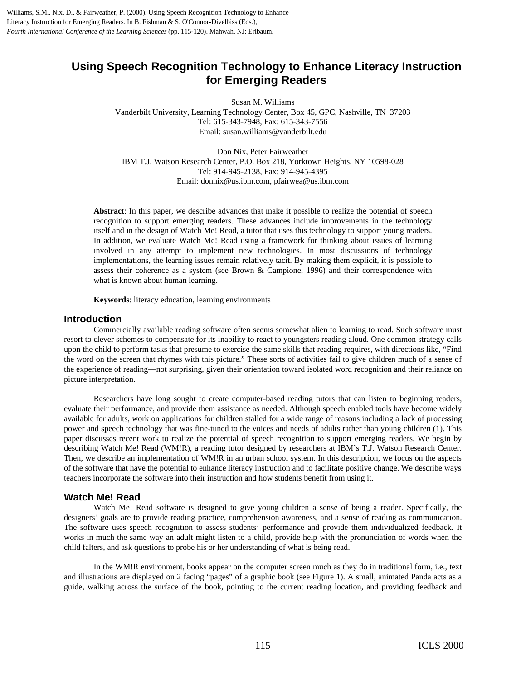Williams, S.M., Nix, D., & Fairweather, P. (2000). Using Speech Recognition Technology to Enhance Literacy Instruction for Emerging Readers. In B. Fishman & S. O'Connor-Divelbiss (Eds.), *Fourth International Conference of the Learning Sciences* (pp. 115-120). Mahwah, NJ: Erlbaum.

# **Using Speech Recognition Technology to Enhance Literacy Instruction for Emerging Readers**

Susan M. Williams

Vanderbilt University, Learning Technology Center, Box 45, GPC, Nashville, TN 37203 Tel: 615-343-7948, Fax: 615-343-7556 Email: susan.williams@vanderbilt.edu

Don Nix, Peter Fairweather IBM T.J. Watson Research Center, P.O. Box 218, Yorktown Heights, NY 10598-028 Tel: 914-945-2138, Fax: 914-945-4395 Email: donnix@us.ibm.com, pfairwea@us.ibm.com

**Abstract**: In this paper, we describe advances that make it possible to realize the potential of speech recognition to support emerging readers. These advances include improvements in the technology itself and in the design of Watch Me! Read, a tutor that uses this technology to support young readers. In addition, we evaluate Watch Me! Read using a framework for thinking about issues of learning involved in any attempt to implement new technologies. In most discussions of technology implementations, the learning issues remain relatively tacit. By making them explicit, it is possible to assess their coherence as a system (see Brown & Campione, 1996) and their correspondence with what is known about human learning.

**Keywords**: literacy education, learning environments

## **Introduction**

Commercially available reading software often seems somewhat alien to learning to read. Such software must resort to clever schemes to compensate for its inability to react to youngsters reading aloud. One common strategy calls upon the child to perform tasks that presume to exercise the same skills that reading requires, with directions like, "Find the word on the screen that rhymes with this picture." These sorts of activities fail to give children much of a sense of the experience of reading—not surprising, given their orientation toward isolated word recognition and their reliance on picture interpretation.

Researchers have long sought to create computer-based reading tutors that can listen to beginning readers, evaluate their performance, and provide them assistance as needed. Although speech enabled tools have become widely available for adults, work on applications for children stalled for a wide range of reasons including a lack of processing power and speech technology that was fine-tuned to the voices and needs of adults rather than young children (1). This paper discusses recent work to realize the potential of speech recognition to support emerging readers. We begin by describing Watch Me! Read (WM!R), a reading tutor designed by researchers at IBM's T.J. Watson Research Center. Then, we describe an implementation of WM!R in an urban school system. In this description, we focus on the aspects of the software that have the potential to enhance literacy instruction and to facilitate positive change. We describe ways teachers incorporate the software into their instruction and how students benefit from using it.

# **Watch Me! Read**

Watch Me! Read software is designed to give young children a sense of being a reader. Specifically, the designers' goals are to provide reading practice, comprehension awareness, and a sense of reading as communication. The software uses speech recognition to assess students' performance and provide them individualized feedback. It works in much the same way an adult might listen to a child, provide help with the pronunciation of words when the child falters, and ask questions to probe his or her understanding of what is being read.

In the WM!R environment, books appear on the computer screen much as they do in traditional form, i.e., text and illustrations are displayed on 2 facing "pages" of a graphic book (see Figure 1). A small, animated Panda acts as a guide, walking across the surface of the book, pointing to the current reading location, and providing feedback and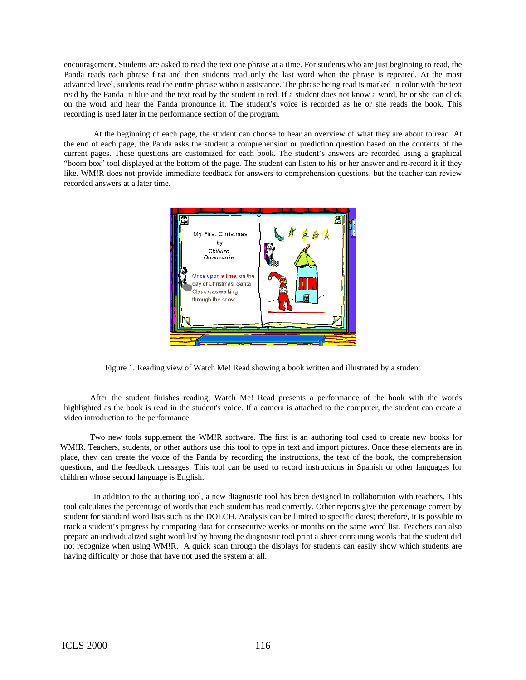encouragement. Students are asked to read the text one phrase at a time. For students who are just beginning to read, the Panda reads each phrase first and then students read only the last word when the phrase is repeated. At the most advanced level, students read the entire phrase without assistance. The phrase being read is marked in color with the text read by the Panda in blue and the text read by the student in red. If a student does not know a word, he or she can click on the word and hear the Panda pronounce it. The student's voice is recorded as he or she reads the book. This recording is used later in the performance section of the program.

At the beginning of each page, the student can choose to hear an overview of what they are about to read. At the end of each page, the Panda asks the student a comprehension or prediction question based on the contents of the current pages. These questions are customized for each book. The student's answers are recorded using a graphical "boom box" tool displayed at the bottom of the page. The student can listen to his or her answer and re-record it if they like. WM!R does not provide immediate feedback for answers to comprehension questions, but the teacher can review recorded answers at a later time.



Figure 1. Reading view of Watch Me! Read showing a book written and illustrated by a student

After the student finishes reading, Watch Me! Read presents a performance of the book with the words highlighted as the book is read in the student's voice. If a camera is attached to the computer, the student can create a video introduction to the performance.

Two new tools supplement the WM!R software. The first is an authoring tool used to create new books for WM!R. Teachers, students, or other authors use this tool to type in text and import pictures. Once these elements are in place, they can create the voice of the Panda by recording the instructions, the text of the book, the comprehension questions, and the feedback messages. This tool can be used to record instructions in Spanish or other languages for children whose second language is English.

In addition to the authoring tool, a new diagnostic tool has been designed in collaboration with teachers. This tool calculates the percentage of words that each student has read correctly. Other reports give the percentage correct by student for standard word lists such as the DOLCH. Analysis can be limited to specific dates; therefore, it is possible to track a student's progress by comparing data for consecutive weeks or months on the same word list. Teachers can also prepare an individualized sight word list by having the diagnostic tool print a sheet containing words that the student did not recognize when using WM!R. A quick scan through the displays for students can easily show which students are having difficulty or those that have not used the system at all.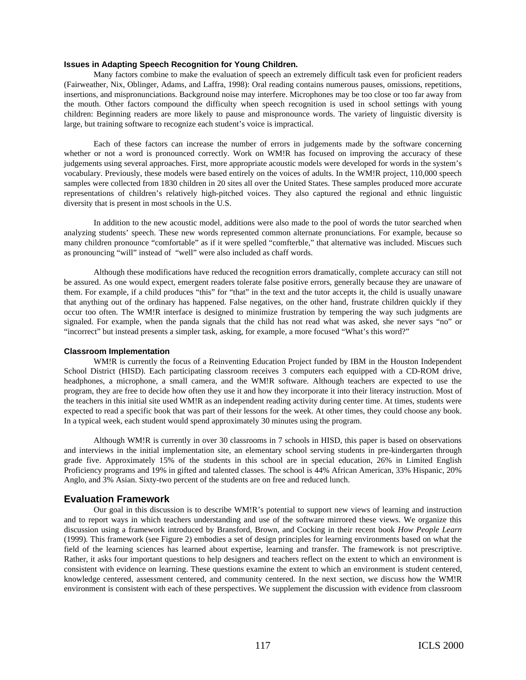#### **Issues in Adapting Speech Recognition for Young Children***.*

Many factors combine to make the evaluation of speech an extremely difficult task even for proficient readers (Fairweather, Nix, Oblinger, Adams, and Laffra, 1998): Oral reading contains numerous pauses, omissions, repetitions, insertions, and mispronunciations. Background noise may interfere. Microphones may be too close or too far away from the mouth. Other factors compound the difficulty when speech recognition is used in school settings with young children: Beginning readers are more likely to pause and mispronounce words. The variety of linguistic diversity is large, but training software to recognize each student's voice is impractical.

Each of these factors can increase the number of errors in judgements made by the software concerning whether or not a word is pronounced correctly. Work on WM!R has focused on improving the accuracy of these judgements using several approaches. First, more appropriate acoustic models were developed for words in the system's vocabulary. Previously, these models were based entirely on the voices of adults. In the WM!R project, 110,000 speech samples were collected from 1830 children in 20 sites all over the United States. These samples produced more accurate representations of children's relatively high-pitched voices. They also captured the regional and ethnic linguistic diversity that is present in most schools in the U.S.

In addition to the new acoustic model, additions were also made to the pool of words the tutor searched when analyzing students' speech. These new words represented common alternate pronunciations. For example, because so many children pronounce "comfortable" as if it were spelled "comfterble," that alternative was included. Miscues such as pronouncing "will" instead of "well" were also included as chaff words.

Although these modifications have reduced the recognition errors dramatically, complete accuracy can still not be assured. As one would expect, emergent readers tolerate false positive errors, generally because they are unaware of them. For example, if a child produces "this" for "that" in the text and the tutor accepts it, the child is usually unaware that anything out of the ordinary has happened. False negatives, on the other hand, frustrate children quickly if they occur too often. The WM!R interface is designed to minimize frustration by tempering the way such judgments are signaled. For example, when the panda signals that the child has not read what was asked, she never says "no" or "incorrect" but instead presents a simpler task, asking, for example, a more focused "What's this word?"

#### **Classroom Implementation**

WM!R is currently the focus of a Reinventing Education Project funded by IBM in the Houston Independent School District (HISD). Each participating classroom receives 3 computers each equipped with a CD-ROM drive, headphones, a microphone, a small camera, and the WM!R software. Although teachers are expected to use the program, they are free to decide how often they use it and how they incorporate it into their literacy instruction. Most of the teachers in this initial site used WM!R as an independent reading activity during center time. At times, students were expected to read a specific book that was part of their lessons for the week. At other times, they could choose any book. In a typical week, each student would spend approximately 30 minutes using the program.

Although WM!R is currently in over 30 classrooms in 7 schools in HISD, this paper is based on observations and interviews in the initial implementation site, an elementary school serving students in pre-kindergarten through grade five. Approximately 15% of the students in this school are in special education, 26% in Limited English Proficiency programs and 19% in gifted and talented classes. The school is 44% African American, 33% Hispanic, 20% Anglo, and 3% Asian. Sixty-two percent of the students are on free and reduced lunch.

## **Evaluation Framework**

Our goal in this discussion is to describe WM!R's potential to support new views of learning and instruction and to report ways in which teachers understanding and use of the software mirrored these views. We organize this discussion using a framework introduced by Bransford, Brown, and Cocking in their recent book *How People Learn* (1999)*.* This framework (see Figure 2) embodies a set of design principles for learning environments based on what the field of the learning sciences has learned about expertise, learning and transfer. The framework is not prescriptive. Rather, it asks four important questions to help designers and teachers reflect on the extent to which an environment is consistent with evidence on learning. These questions examine the extent to which an environment is student centered, knowledge centered, assessment centered, and community centered. In the next section, we discuss how the WM!R environment is consistent with each of these perspectives. We supplement the discussion with evidence from classroom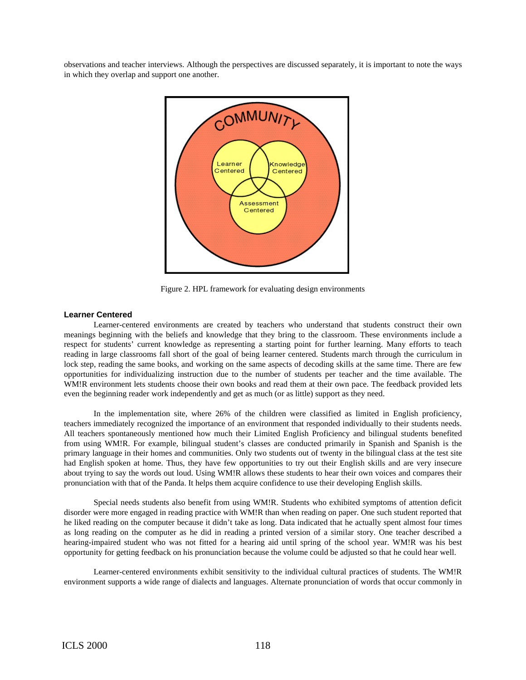observations and teacher interviews. Although the perspectives are discussed separately, it is important to note the ways in which they overlap and support one another.



Figure 2. HPL framework for evaluating design environments

### **Learner Centered**

Learner-centered environments are created by teachers who understand that students construct their own meanings beginning with the beliefs and knowledge that they bring to the classroom. These environments include a respect for students' current knowledge as representing a starting point for further learning. Many efforts to teach reading in large classrooms fall short of the goal of being learner centered. Students march through the curriculum in lock step, reading the same books, and working on the same aspects of decoding skills at the same time. There are few opportunities for individualizing instruction due to the number of students per teacher and the time available. The WM!R environment lets students choose their own books and read them at their own pace. The feedback provided lets even the beginning reader work independently and get as much (or as little) support as they need.

In the implementation site, where 26% of the children were classified as limited in English proficiency, teachers immediately recognized the importance of an environment that responded individually to their students needs. All teachers spontaneously mentioned how much their Limited English Proficiency and bilingual students benefited from using WM!R. For example, bilingual student's classes are conducted primarily in Spanish and Spanish is the primary language in their homes and communities. Only two students out of twenty in the bilingual class at the test site had English spoken at home. Thus, they have few opportunities to try out their English skills and are very insecure about trying to say the words out loud. Using WM!R allows these students to hear their own voices and compares their pronunciation with that of the Panda. It helps them acquire confidence to use their developing English skills.

Special needs students also benefit from using WM!R. Students who exhibited symptoms of attention deficit disorder were more engaged in reading practice with WM!R than when reading on paper. One such student reported that he liked reading on the computer because it didn't take as long. Data indicated that he actually spent almost four times as long reading on the computer as he did in reading a printed version of a similar story. One teacher described a hearing-impaired student who was not fitted for a hearing aid until spring of the school year. WM!R was his best opportunity for getting feedback on his pronunciation because the volume could be adjusted so that he could hear well.

Learner-centered environments exhibit sensitivity to the individual cultural practices of students. The WM!R environment supports a wide range of dialects and languages. Alternate pronunciation of words that occur commonly in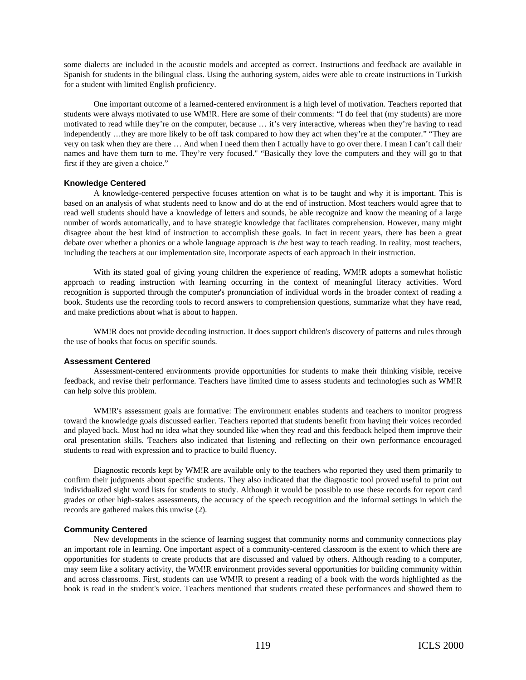some dialects are included in the acoustic models and accepted as correct. Instructions and feedback are available in Spanish for students in the bilingual class. Using the authoring system, aides were able to create instructions in Turkish for a student with limited English proficiency.

One important outcome of a learned-centered environment is a high level of motivation. Teachers reported that students were always motivated to use WM!R. Here are some of their comments: "I do feel that (my students) are more motivated to read while they're on the computer, because … it's very interactive, whereas when they're having to read independently …they are more likely to be off task compared to how they act when they're at the computer." "They are very on task when they are there … And when I need them then I actually have to go over there. I mean I can't call their names and have them turn to me. They're very focused." "Basically they love the computers and they will go to that first if they are given a choice."

## **Knowledge Centered**

A knowledge-centered perspective focuses attention on what is to be taught and why it is important. This is based on an analysis of what students need to know and do at the end of instruction. Most teachers would agree that to read well students should have a knowledge of letters and sounds, be able recognize and know the meaning of a large number of words automatically, and to have strategic knowledge that facilitates comprehension. However, many might disagree about the best kind of instruction to accomplish these goals. In fact in recent years, there has been a great debate over whether a phonics or a whole language approach is *the* best way to teach reading. In reality, most teachers, including the teachers at our implementation site, incorporate aspects of each approach in their instruction.

With its stated goal of giving young children the experience of reading, WM!R adopts a somewhat holistic approach to reading instruction with learning occurring in the context of meaningful literacy activities. Word recognition is supported through the computer's pronunciation of individual words in the broader context of reading a book. Students use the recording tools to record answers to comprehension questions, summarize what they have read, and make predictions about what is about to happen.

WM!R does not provide decoding instruction. It does support children's discovery of patterns and rules through the use of books that focus on specific sounds.

#### **Assessment Centered**

Assessment-centered environments provide opportunities for students to make their thinking visible, receive feedback, and revise their performance. Teachers have limited time to assess students and technologies such as WM!R can help solve this problem.

WM!R's assessment goals are formative: The environment enables students and teachers to monitor progress toward the knowledge goals discussed earlier. Teachers reported that students benefit from having their voices recorded and played back. Most had no idea what they sounded like when they read and this feedback helped them improve their oral presentation skills. Teachers also indicated that listening and reflecting on their own performance encouraged students to read with expression and to practice to build fluency.

Diagnostic records kept by WM!R are available only to the teachers who reported they used them primarily to confirm their judgments about specific students. They also indicated that the diagnostic tool proved useful to print out individualized sight word lists for students to study. Although it would be possible to use these records for report card grades or other high-stakes assessments, the accuracy of the speech recognition and the informal settings in which the records are gathered makes this unwise (2).

#### **Community Centered**

New developments in the science of learning suggest that community norms and community connections play an important role in learning. One important aspect of a community-centered classroom is the extent to which there are opportunities for students to create products that are discussed and valued by others. Although reading to a computer, may seem like a solitary activity, the WM!R environment provides several opportunities for building community within and across classrooms. First, students can use WM!R to present a reading of a book with the words highlighted as the book is read in the student's voice. Teachers mentioned that students created these performances and showed them to